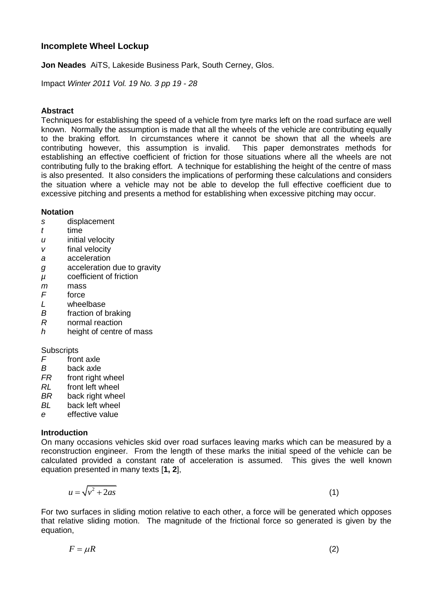# **Incomplete Wheel Lockup**

**Jon Neades** AiTS, Lakeside Business Park, South Cerney, Glos.

Impact *Winter 2011 Vol. 19 No. 3 pp 19 - 28*

## **Abstract**

Techniques for establishing the speed of a vehicle from tyre marks left on the road surface are well known. Normally the assumption is made that all the wheels of the vehicle are contributing equally to the braking effort. In circumstances where it cannot be shown that all the wheels are contributing however, this assumption is invalid. This paper demonstrates methods for contributing however, this assumption is invalid. establishing an effective coefficient of friction for those situations where all the wheels are not contributing fully to the braking effort. A technique for establishing the height of the centre of mass is also presented. It also considers the implications of performing these calculations and considers the situation where a vehicle may not be able to develop the full effective coefficient due to excessive pitching and presents a method for establishing when excessive pitching may occur.

## **Notation**

- *s* displacement
- *t* time
- *u* initial velocity
- *v* final velocity
- *a* acceleration
- *g* acceleration due to gravity
- *µ* coefficient of friction
- *m* mass
- *F* force
- *L* wheelbase
- *B* fraction of braking
- *R* normal reaction
- *h* height of centre of mass

**Subscripts** 

- *F* front axle
- *B* back axle
- *FR* front right wheel
- *RL* front left wheel
- *BR* back right wheel
- *BL* back left wheel
- *e* effective value

# **Introduction**

On many occasions vehicles skid over road surfaces leaving marks which can be measured by a reconstruction engineer. From the length of these marks the initial speed of the vehicle can be calculated provided a constant rate of acceleration is assumed. This gives the well known equation presented in many texts [**1, 2**],

$$
u = \sqrt{v^2 + 2as}
$$

For two surfaces in sliding motion relative to each other, a force will be generated which opposes that relative sliding motion. The magnitude of the frictional force so generated is given by the equation,

(1)

$$
F = \mu R \tag{2}
$$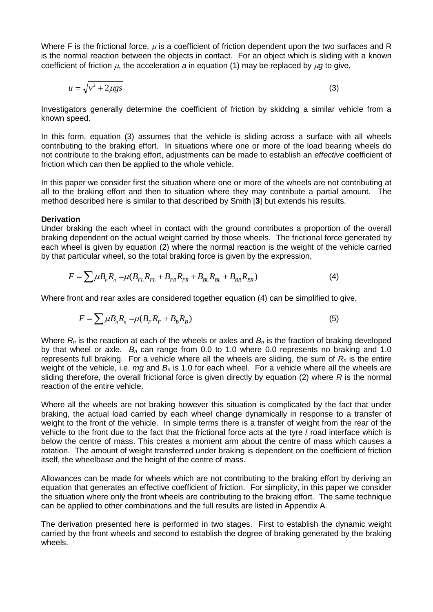Where F is the frictional force,  $\mu$  is a coefficient of friction dependent upon the two surfaces and R is the normal reaction between the objects in contact. For an object which is sliding with a known coefficient of friction  $\mu$ , the acceleration *a* in equation (1) may be replaced by  $\mu q$  to give,

$$
u = \sqrt{v^2 + 2\mu g s} \tag{3}
$$

Investigators generally determine the coefficient of friction by skidding a similar vehicle from a known speed.

In this form, equation (3) assumes that the vehicle is sliding across a surface with all wheels contributing to the braking effort. In situations where one or more of the load bearing wheels do not contribute to the braking effort, adjustments can be made to establish an *effective* coefficient of friction which can then be applied to the whole vehicle.

In this paper we consider first the situation where one or more of the wheels are not contributing at all to the braking effort and then to situation where they may contribute a partial amount. The method described here is similar to that described by Smith [**3**] but extends his results.

#### **Derivation**

Under braking the each wheel in contact with the ground contributes a proportion of the overall braking dependent on the actual weight carried by those wheels. The frictional force generated by each wheel is given by equation (2) where the normal reaction is the weight of the vehicle carried

by that particular wheel, so the total braking force is given by the expression,  
\n
$$
F = \sum \mu B_n R_n = \mu (B_{FL} R_{FL} + B_{FR} R_{FR} + B_{BL} R_{BL} + B_{BR} R_{BR})
$$
\n(4)

Where front and rear axles are considered together equation (4) can be simplified to give,

$$
F = \sum \mu B_n R_n = \mu (B_F R_F + B_B R_B)
$$
\n<sup>(5)</sup>

Where *R<sup>n</sup>* is the reaction at each of the wheels or axles and *B<sup>n</sup>* is the fraction of braking developed by that wheel or axle. *B<sup>n</sup>* can range from 0.0 to 1.0 where 0.0 represents no braking and 1.0 represents full braking. For a vehicle where all the wheels are sliding, the sum of *R<sup>n</sup>* is the entire weight of the vehicle, i.e. *mg* and *B<sup>n</sup>* is 1.0 for each wheel. For a vehicle where all the wheels are sliding therefore, the overall frictional force is given directly by equation (2) where *R* is the normal reaction of the entire vehicle.

Where all the wheels are not braking however this situation is complicated by the fact that under braking, the actual load carried by each wheel change dynamically in response to a transfer of weight to the front of the vehicle. In simple terms there is a transfer of weight from the rear of the vehicle to the front due to the fact that the frictional force acts at the tyre / road interface which is below the centre of mass. This creates a moment arm about the centre of mass which causes a rotation. The amount of weight transferred under braking is dependent on the coefficient of friction itself, the wheelbase and the height of the centre of mass.

Allowances can be made for wheels which are not contributing to the braking effort by deriving an equation that generates an effective coefficient of friction. For simplicity, in this paper we consider the situation where only the front wheels are contributing to the braking effort. The same technique can be applied to other combinations and the full results are listed in Appendix A.

The derivation presented here is performed in two stages. First to establish the dynamic weight carried by the front wheels and second to establish the degree of braking generated by the braking wheels.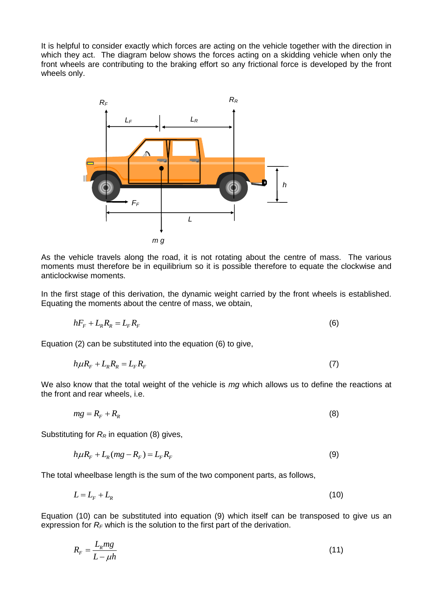It is helpful to consider exactly which forces are acting on the vehicle together with the direction in which they act. The diagram below shows the forces acting on a skidding vehicle when only the front wheels are contributing to the braking effort so any frictional force is developed by the front wheels only.



As the vehicle travels along the road, it is not rotating about the centre of mass. The various moments must therefore be in equilibrium so it is possible therefore to equate the clockwise and anticlockwise moments.

In the first stage of this derivation, the dynamic weight carried by the front wheels is established. Equating the moments about the centre of mass, we obtain,

$$
hF_F + L_R R_R = L_F R_F \tag{6}
$$

Equation (2) can be substituted into the equation (6) to give,

$$
h\mu R_F + L_R R_R = L_F R_F \tag{7}
$$

We also know that the total weight of the vehicle is *mg* which allows us to define the reactions at the front and rear wheels, i.e.

$$
mg = R_F + R_R \tag{8}
$$

Substituting for  $R_R$  in equation (8) gives,

$$
h\mu R_F + L_R(mg - R_F) = L_F R_F \tag{9}
$$

The total wheelbase length is the sum of the two component parts, as follows,

$$
L = LF + LR
$$
 (10)

Equation (10) can be substituted into equation (9) which itself can be transposed to give us an expression for  $R_F$  which is the solution to the first part of the derivation.

$$
R_F = \frac{L_R mg}{L - \mu h} \tag{11}
$$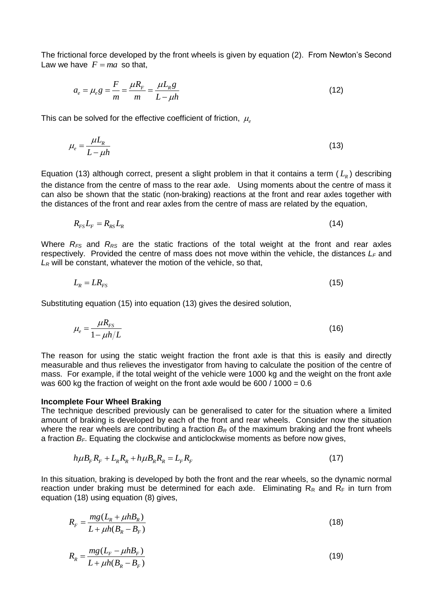The frictional force developed by the front wheels is given by equation (2). From Newton's Second Law we have  $F = ma$  so that,

$$
a_e = \mu_e g = \frac{F}{m} = \frac{\mu R_F}{m} = \frac{\mu L_R g}{L - \mu h}
$$
 (12)

This can be solved for the effective coefficient of friction,  $\,\mu_{_e}$ 

$$
\mu_e = \frac{\mu L_R}{L - \mu h} \tag{13}
$$

Equation (13) although correct, present a slight problem in that it contains a term ( *LR* ) describing the distance from the centre of mass to the rear axle. Using moments about the centre of mass it can also be shown that the static (non-braking) reactions at the front and rear axles together with the distances of the front and rear axles from the centre of mass are related by the equation,

$$
R_{FS}L_F=R_{RS}L_R
$$
 (14)

Where *RFS* and *RRS* are the static fractions of the total weight at the front and rear axles respectively. Provided the centre of mass does not move within the vehicle, the distances *L<sup>F</sup>* and *L<sup>R</sup>* will be constant, whatever the motion of the vehicle, so that,

$$
L_R = LR_{FS} \tag{15}
$$

Substituting equation (15) into equation (13) gives the desired solution,

$$
\mu_e = \frac{\mu R_{FS}}{1 - \mu h / L} \tag{16}
$$

The reason for using the static weight fraction the front axle is that this is easily and directly measurable and thus relieves the investigator from having to calculate the position of the centre of mass. For example, if the total weight of the vehicle were 1000 kg and the weight on the front axle was 600 kg the fraction of weight on the front axle would be 600 / 1000 = 0.6

#### **Incomplete Four Wheel Braking**

The technique described previously can be generalised to cater for the situation where a limited amount of braking is developed by each of the front and rear wheels. Consider now the situation where the rear wheels are contributing a fraction  $B_R$  of the maximum braking and the front wheels a fraction  $B_F$ . Equating the clockwise and anticlockwise moments as before now gives,

$$
h\mu B_F R_F + L_R R_R + h\mu B_R R_R = L_F R_F \tag{17}
$$

In this situation, braking is developed by both the front and the rear wheels, so the dynamic normal reaction under braking must be determined for each axle. Eliminating  $R_R$  and  $R_F$  in turn from equation (18) using equation (8) gives,

$$
R_F = \frac{mg(L_R + \mu h B_R)}{L + \mu h (B_R - B_F)}
$$
(18)

$$
R_R = \frac{mg(L_F - \mu h B_F)}{L + \mu h(B_R - B_F)}
$$
(19)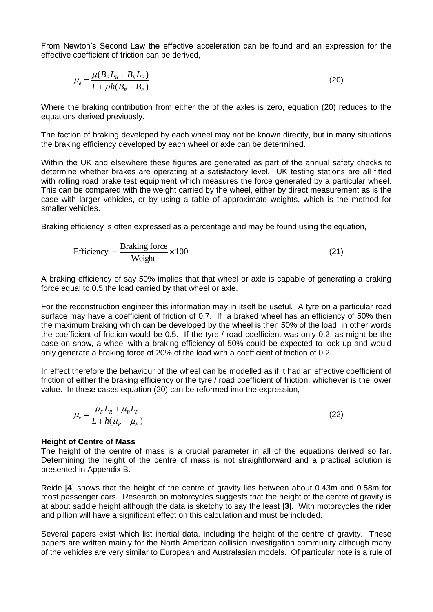From Newton's Second Law the effective acceleration can be found and an expression for the effective coefficient of friction can be derived,

$$
\mu_e = \frac{\mu(B_F L_R + B_R L_F)}{L + \mu h(B_R - B_F)}
$$
(20)

Where the braking contribution from either the of the axles is zero, equation (20) reduces to the equations derived previously.

The faction of braking developed by each wheel may not be known directly, but in many situations the braking efficiency developed by each wheel or axle can be determined.

Within the UK and elsewhere these figures are generated as part of the annual safety checks to determine whether brakes are operating at a satisfactory level. UK testing stations are all fitted with rolling road brake test equipment which measures the force generated by a particular wheel. This can be compared with the weight carried by the wheel, either by direct measurement as is the case with larger vehicles, or by using a table of approximate weights, which is the method for smaller vehicles.

Braking efficiency is often expressed as a percentage and may be found using the equation,

Efficiency = 
$$
\frac{\text{Braking force}}{\text{Weight}} \times 100
$$
 (21)

A braking efficiency of say 50% implies that that wheel or axle is capable of generating a braking force equal to 0.5 the load carried by that wheel or axle.

For the reconstruction engineer this information may in itself be useful. A tyre on a particular road surface may have a coefficient of friction of 0.7. If a braked wheel has an efficiency of 50% then the maximum braking which can be developed by the wheel is then 50% of the load, in other words the coefficient of friction would be 0.5. If the tyre / road coefficient was only 0.2, as might be the case on snow, a wheel with a braking efficiency of 50% could be expected to lock up and would only generate a braking force of 20% of the load with a coefficient of friction of 0.2.

In effect therefore the behaviour of the wheel can be modelled as if it had an effective coefficient of friction of either the braking efficiency or the tyre / road coefficient of friction, whichever is the lower value. In these cases equation (20) can be reformed into the expression,

(22)

$$
\mu_e = \frac{\mu_F L_R + \mu_R L_F}{L + h(\mu_R - \mu_F)}
$$

#### **Height of Centre of Mass**

The height of the centre of mass is a crucial parameter in all of the equations derived so far. Determining the height of the centre of mass is not straightforward and a practical solution is presented in Appendix B.

Reide [**4**] shows that the height of the centre of gravity lies between about 0.43m and 0.58m for most passenger cars. Research on motorcycles suggests that the height of the centre of gravity is at about saddle height although the data is sketchy to say the least [**3**]. With motorcycles the rider and pillion will have a significant effect on this calculation and must be included.

Several papers exist which list inertial data, including the height of the centre of gravity. These papers are written mainly for the North American collision investigation community although many of the vehicles are very similar to European and Australasian models. Of particular note is a rule of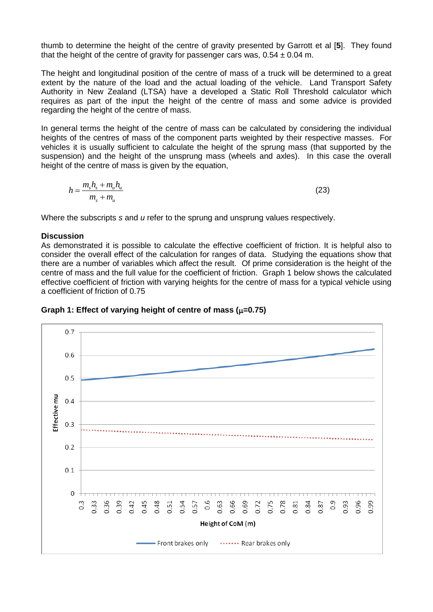thumb to determine the height of the centre of gravity presented by Garrott et al [**5**]. They found that the height of the centre of gravity for passenger cars was,  $0.54 \pm 0.04$  m.

The height and longitudinal position of the centre of mass of a truck will be determined to a great extent by the nature of the load and the actual loading of the vehicle. Land Transport Safety Authority in New Zealand (LTSA) have a developed a Static Roll Threshold calculator which requires as part of the input the height of the centre of mass and some advice is provided regarding the height of the centre of mass.

In general terms the height of the centre of mass can be calculated by considering the individual heights of the centres of mass of the component parts weighted by their respective masses. For vehicles it is usually sufficient to calculate the height of the sprung mass (that supported by the suspension) and the height of the unsprung mass (wheels and axles). In this case the overall height of the centre of mass is given by the equation,

$$
h = \frac{m_s h_s + m_u h_u}{m_s + m_u} \tag{23}
$$

Where the subscripts *s* and *u* refer to the sprung and unsprung values respectively.

### **Discussion**

As demonstrated it is possible to calculate the effective coefficient of friction. It is helpful also to consider the overall effect of the calculation for ranges of data. Studying the equations show that there are a number of variables which affect the result. Of prime consideration is the height of the centre of mass and the full value for the coefficient of friction. Graph 1 below shows the calculated effective coefficient of friction with varying heights for the centre of mass for a typical vehicle using a coefficient of friction of 0.75



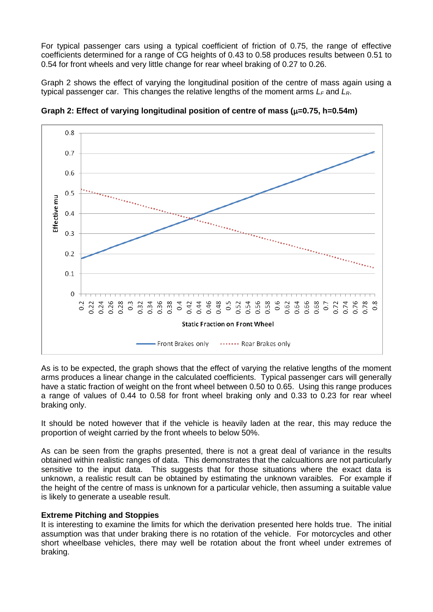For typical passenger cars using a typical coefficient of friction of 0.75, the range of effective coefficients determined for a range of CG heights of 0.43 to 0.58 produces results between 0.51 to 0.54 for front wheels and very little change for rear wheel braking of 0.27 to 0.26.

Graph 2 shows the effect of varying the longitudinal position of the centre of mass again using a typical passenger car. This changes the relative lengths of the moment arms *L<sup>F</sup>* and *LR*.



Graph 2: Effect of varying longitudinal position of centre of mass  $(\mu=0.75, h=0.54m)$ 

As is to be expected, the graph shows that the effect of varying the relative lengths of the moment arms produces a linear change in the calculated coefficients. Typical passenger cars will generally have a static fraction of weight on the front wheel between 0.50 to 0.65. Using this range produces a range of values of 0.44 to 0.58 for front wheel braking only and 0.33 to 0.23 for rear wheel braking only.

It should be noted however that if the vehicle is heavily laden at the rear, this may reduce the proportion of weight carried by the front wheels to below 50%.

As can be seen from the graphs presented, there is not a great deal of variance in the results obtained within realistic ranges of data. This demonstrates that the calcualtions are not particularly sensitive to the input data. This suggests that for those situations where the exact data is unknown, a realistic result can be obtained by estimating the unknown varaibles. For example if the height of the centre of mass is unknown for a particular vehicle, then assuming a suitable value is likely to generate a useable result.

## **Extreme Pitching and Stoppies**

It is interesting to examine the limits for which the derivation presented here holds true. The initial assumption was that under braking there is no rotation of the vehicle. For motorcycles and other short wheelbase vehicles, there may well be rotation about the front wheel under extremes of braking.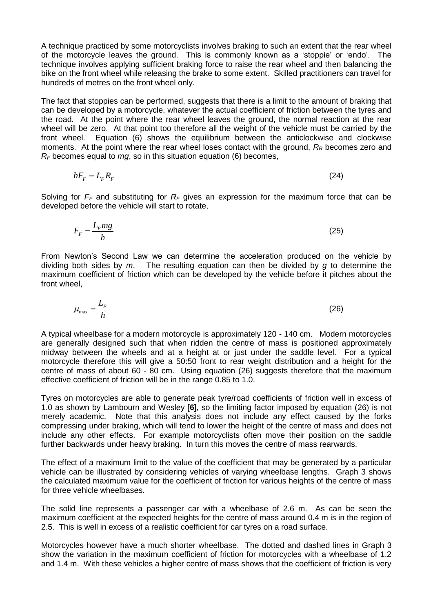A technique practiced by some motorcyclists involves braking to such an extent that the rear wheel of the motorcycle leaves the ground. This is commonly known as a 'stoppie' or 'endo'. The technique involves applying sufficient braking force to raise the rear wheel and then balancing the bike on the front wheel while releasing the brake to some extent. Skilled practitioners can travel for hundreds of metres on the front wheel only.

The fact that stoppies can be performed, suggests that there is a limit to the amount of braking that can be developed by a motorcycle, whatever the actual coefficient of friction between the tyres and the road. At the point where the rear wheel leaves the ground, the normal reaction at the rear wheel will be zero. At that point too therefore all the weight of the vehicle must be carried by the front wheel. Equation (6) shows the equilibrium between the anticlockwise and clockwise moments. At the point where the rear wheel loses contact with the ground, *R<sup>R</sup>* becomes zero and *R<sup>F</sup>* becomes equal to *mg*, so in this situation equation (6) becomes,

 $hF_F = L_F R_F$ (24)

Solving for *F<sup>F</sup>* and substituting for *R<sup>F</sup>* gives an expression for the maximum force that can be developed before the vehicle will start to rotate,

$$
F_F = \frac{L_F mg}{h} \tag{25}
$$

From Newton's Second Law we can determine the acceleration produced on the vehicle by dividing both sides by *m*. The resulting equation can then be divided by *g* to determine the maximum coefficient of friction which can be developed by the vehicle before it pitches about the front wheel,

$$
\mu_{\text{max}} = \frac{L_F}{h} \tag{26}
$$

A typical wheelbase for a modern motorcycle is approximately 120 - 140 cm. Modern motorcycles are generally designed such that when ridden the centre of mass is positioned approximately midway between the wheels and at a height at or just under the saddle level. For a typical motorcycle therefore this will give a 50:50 front to rear weight distribution and a height for the centre of mass of about 60 - 80 cm. Using equation (26) suggests therefore that the maximum effective coefficient of friction will be in the range 0.85 to 1.0.

Tyres on motorcycles are able to generate peak tyre/road coefficients of friction well in excess of 1.0 as shown by Lambourn and Wesley [**6**], so the limiting factor imposed by equation (26) is not merely academic. Note that this analysis does not include any effect caused by the forks compressing under braking, which will tend to lower the height of the centre of mass and does not include any other effects. For example motorcyclists often move their position on the saddle further backwards under heavy braking. In turn this moves the centre of mass rearwards.

The effect of a maximum limit to the value of the coefficient that may be generated by a particular vehicle can be illustrated by considering vehicles of varying wheelbase lengths. Graph 3 shows the calculated maximum value for the coefficient of friction for various heights of the centre of mass for three vehicle wheelbases.

The solid line represents a passenger car with a wheelbase of 2.6 m. As can be seen the maximum coefficient at the expected heights for the centre of mass around 0.4 m is in the region of 2.5. This is well in excess of a realistic coefficient for car tyres on a road surface.

Motorcycles however have a much shorter wheelbase. The dotted and dashed lines in Graph 3 show the variation in the maximum coefficient of friction for motorcycles with a wheelbase of 1.2 and 1.4 m. With these vehicles a higher centre of mass shows that the coefficient of friction is very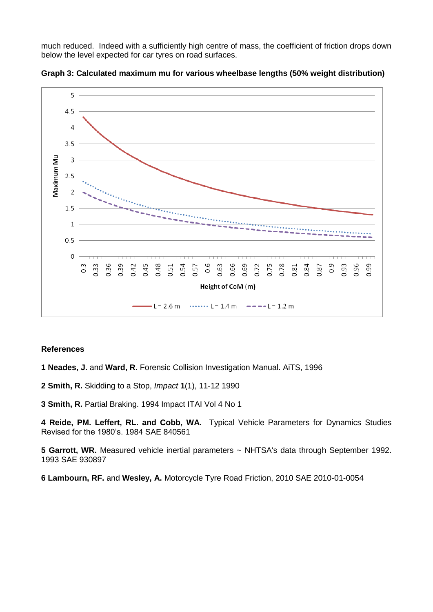much reduced. Indeed with a sufficiently high centre of mass, the coefficient of friction drops down below the level expected for car tyres on road surfaces.



**Graph 3: Calculated maximum mu for various wheelbase lengths (50% weight distribution)**

### **References**

**1 Neades, J.** and **Ward, R.** Forensic Collision Investigation Manual. AiTS, 1996

**2 Smith, R.** Skidding to a Stop, *Impact* **1**(1), 11-12 1990

**3 Smith, R.** Partial Braking. 1994 Impact ITAI Vol 4 No 1

**4 Reide, PM. Leffert, RL. and Cobb, WA.** Typical Vehicle Parameters for Dynamics Studies Revised for the 1980's. 1984 SAE 840561

**5 Garrott, WR.** Measured vehicle inertial parameters ~ NHTSA's data through September 1992. 1993 SAE 930897

**6 Lambourn, RF.** and **Wesley, A.** Motorcycle Tyre Road Friction, 2010 SAE 2010-01-0054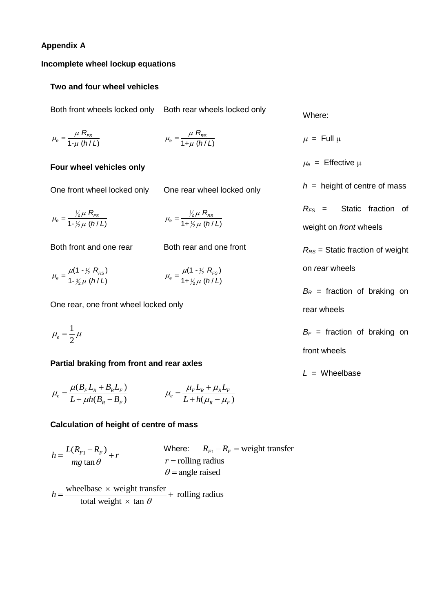## **Appendix A**

#### **Incomplete wheel lockup equations**

## **Two and four wheel vehicles**

Both front wheels locked only Both rear wheels locked only

 $\mu$  = Full  $\mu$  $\mu_{\rm e} = \frac{\mu}{1-\mu}$  $=$ 1- $\mu$  (h/L)  $E_e = \frac{\mu + \mu_{FS}}{1 + \mu + \mu_{FS}}$ *R h L*  $\mu_e = \frac{\mu}{1+\mu}$  $=\frac{\mu_{RSS}}{1+\mu(h/L)}$  $a_e = \frac{\mu V R_S}{4 \mu L L h}$ *R h L*

### **Four wheel vehicles only**

One front wheel locked only One rear wheel locked only

$$
\mu_{\rm e} = \frac{\frac{\gamma_2}{\mu} \, R_{\rm FS}}{1 - \gamma_2 \, \mu \, (h/L)} \qquad \mu_{\rm e} = \frac{\gamma_2 \, \mu \, R_{\rm RS}}{1 + \gamma_2 \, \mu \, (h/L)}
$$

Both front and one rear Both rear and one front

 $\mu_{\rm e} = \frac{\mu(1-\mu)}{1-\frac{1}{2}\mu}$  $=\frac{\mu(1-\frac{1}{2})}{1-\frac{1}{2}}$  $\frac{1}{2}$  $(1 - \frac{1}{2} R_{RS})$  $\mu_e = \frac{\mu (1/2 + R_S)}{1 - \frac{1}{2} \mu (h/L)}$ *R h L*  $\mu_{\rm e} = \frac{\mu(1-\mu)}{1+\frac{1}{2}\mu}$  $=\frac{\mu(1-\frac{1}{2})}{1-\frac{1}{2}}$  $\frac{1}{2}$  $(1 - \frac{1}{2} R_{FS})$  $E_e = \frac{\mu (1/2 + F_S)}{1 + \frac{1}{2} \mu (h/L)}$ *R h L*

One rear, one front wheel locked only

$$
\mu_e = \frac{1}{2}\,\mu
$$

### **Partial braking from front and rear axles**

$$
\mu_e = \frac{\mu(B_F L_R + B_R L_F)}{L + \mu h(B_R - B_F)} \qquad \mu_e = \frac{\mu_F L_R + \mu_R L_F}{L + h(\mu_R - \mu_F)}
$$

### **Calculation of height of centre of mass**

 $(R_{F1} - R_F)$ tan  $h = \frac{L(R_{F1} - R_F)}{R} + r$  $mg \tan \theta$  $=\frac{L(R_{F1}-R_F)}{R}+r$ Where:  $R_{F1} - R_F$  = weight transfer  $r =$  rolling radius  $\theta$  = angle raised

wheelbase  $\times$  weight transfer  $+$  rolling radius total weight  $\times$  tan  $h = \frac{\text{winclosed} \times \text{wright} \cdot \text{atm}}{\text{total weight} \times \tan \theta}$  $\times$  $v = \text{angle}$ <br>= wheelbase × weight transfer<br>total weight × tan  $\theta$ 

Where:

$$
\mu = \text{Full } \mu
$$

 $\mu_e$  = Effective  $\mu$ 

*h* = height of centre of mass

*RFS* = Static fraction of

weight on *front* wheels

*RRS* = Static fraction of weight

on *rear* wheels

 $B_R$  = fraction of braking on rear wheels

 $B_F$  = fraction of braking on front wheels

*L* = Wheelbase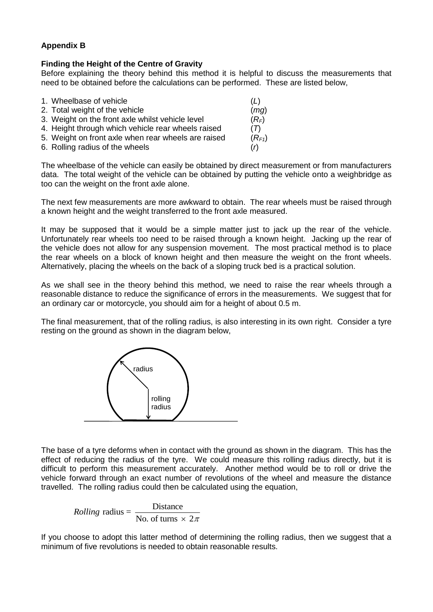## **Appendix B**

## **Finding the Height of the Centre of Gravity**

Before explaining the theory behind this method it is helpful to discuss the measurements that need to be obtained before the calculations can be performed. These are listed below,

| 1. Wheelbase of vehicle                             | (L)        |
|-----------------------------------------------------|------------|
| 2. Total weight of the vehicle                      | (mq)       |
| 3. Weight on the front axle whilst vehicle level    | $(R_F)$    |
| 4. Height through which vehicle rear wheels raised  | (T)        |
| 5. Weight on front axle when rear wheels are raised | $(R_{F1})$ |
| 6. Rolling radius of the wheels                     | (r)        |

The wheelbase of the vehicle can easily be obtained by direct measurement or from manufacturers data. The total weight of the vehicle can be obtained by putting the vehicle onto a weighbridge as too can the weight on the front axle alone.

The next few measurements are more awkward to obtain. The rear wheels must be raised through a known height and the weight transferred to the front axle measured.

It may be supposed that it would be a simple matter just to jack up the rear of the vehicle. Unfortunately rear wheels too need to be raised through a known height. Jacking up the rear of the vehicle does not allow for any suspension movement. The most practical method is to place the rear wheels on a block of known height and then measure the weight on the front wheels. Alternatively, placing the wheels on the back of a sloping truck bed is a practical solution.

As we shall see in the theory behind this method, we need to raise the rear wheels through a reasonable distance to reduce the significance of errors in the measurements. We suggest that for an ordinary car or motorcycle, you should aim for a height of about 0.5 m.

The final measurement, that of the rolling radius, is also interesting in its own right. Consider a tyre resting on the ground as shown in the diagram below,



The base of a tyre deforms when in contact with the ground as shown in the diagram. This has the effect of reducing the radius of the tyre. We could measure this rolling radius directly, but it is difficult to perform this measurement accurately. Another method would be to roll or drive the vehicle forward through an exact number of revolutions of the wheel and measure the distance travelled. The rolling radius could then be calculated using the equation,

*Rolling* radius = 
$$
\frac{\text{Distance}}{\text{No. of turns} \times 2\pi}
$$

If you choose to adopt this latter method of determining the rolling radius, then we suggest that a minimum of five revolutions is needed to obtain reasonable results.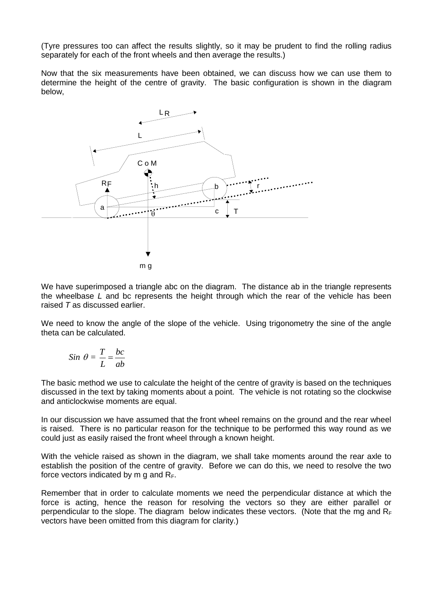(Tyre pressures too can affect the results slightly, so it may be prudent to find the rolling radius separately for each of the front wheels and then average the results.)

Now that the six measurements have been obtained, we can discuss how we can use them to determine the height of the centre of gravity. The basic configuration is shown in the diagram below,



We have superimposed a triangle abc on the diagram. The distance ab in the triangle represents the wheelbase *L* and bc represents the height through which the rear of the vehicle has been raised *T* as discussed earlier.

We need to know the angle of the slope of the vehicle. Using trigonometry the sine of the angle theta can be calculated.

$$
Sin \theta = \frac{T}{L} = \frac{bc}{ab}
$$

The basic method we use to calculate the height of the centre of gravity is based on the techniques discussed in the text by taking moments about a point. The vehicle is not rotating so the clockwise and anticlockwise moments are equal.

In our discussion we have assumed that the front wheel remains on the ground and the rear wheel is raised. There is no particular reason for the technique to be performed this way round as we could just as easily raised the front wheel through a known height.

With the vehicle raised as shown in the diagram, we shall take moments around the rear axle to establish the position of the centre of gravity. Before we can do this, we need to resolve the two force vectors indicated by m g and  $R_F$ .

Remember that in order to calculate moments we need the perpendicular distance at which the force is acting, hence the reason for resolving the vectors so they are either parallel or perpendicular to the slope. The diagram below indicates these vectors. (Note that the mg and  $R_F$ vectors have been omitted from this diagram for clarity.)